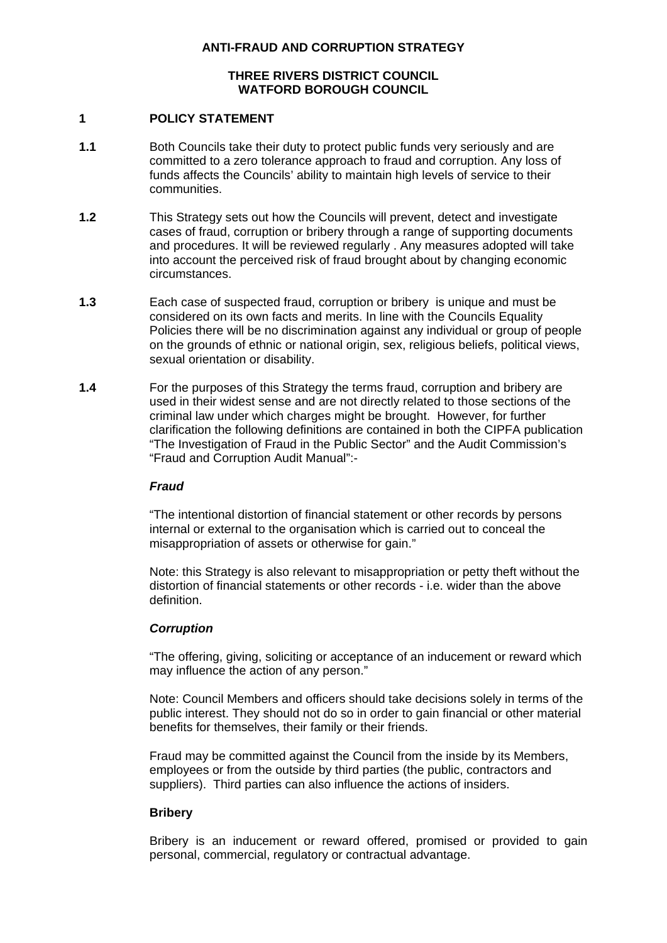### **ANTI-FRAUD AND CORRUPTION STRATEGY**

# **THREE RIVERS DISTRICT COUNCIL WATFORD BOROUGH COUNCIL**

#### **1 POLICY STATEMENT**

- **1.1** Both Councils take their duty to protect public funds very seriously and are committed to a zero tolerance approach to fraud and corruption. Any loss of funds affects the Councils' ability to maintain high levels of service to their communities.
- **1.2** This Strategy sets out how the Councils will prevent, detect and investigate cases of fraud, corruption or bribery through a range of supporting documents and procedures. It will be reviewed regularly . Any measures adopted will take into account the perceived risk of fraud brought about by changing economic circumstances.
- **1.3** Each case of suspected fraud, corruption or bribery is unique and must be considered on its own facts and merits. In line with the Councils Equality Policies there will be no discrimination against any individual or group of people on the grounds of ethnic or national origin, sex, religious beliefs, political views, sexual orientation or disability.
- **1.4** For the purposes of this Strategy the terms fraud, corruption and bribery are used in their widest sense and are not directly related to those sections of the criminal law under which charges might be brought. However, for further clarification the following definitions are contained in both the CIPFA publication "The Investigation of Fraud in the Public Sector" and the Audit Commission's "Fraud and Corruption Audit Manual":-

## *Fraud*

 "The intentional distortion of financial statement or other records by persons internal or external to the organisation which is carried out to conceal the misappropriation of assets or otherwise for gain."

 Note: this Strategy is also relevant to misappropriation or petty theft without the distortion of financial statements or other records - i.e. wider than the above definition.

## *Corruption*

 "The offering, giving, soliciting or acceptance of an inducement or reward which may influence the action of any person."

 Note: Council Members and officers should take decisions solely in terms of the public interest. They should not do so in order to gain financial or other material benefits for themselves, their family or their friends.

 Fraud may be committed against the Council from the inside by its Members, employees or from the outside by third parties (the public, contractors and suppliers). Third parties can also influence the actions of insiders.

## **Bribery**

Bribery is an inducement or reward offered, promised or provided to gain personal, commercial, regulatory or contractual advantage.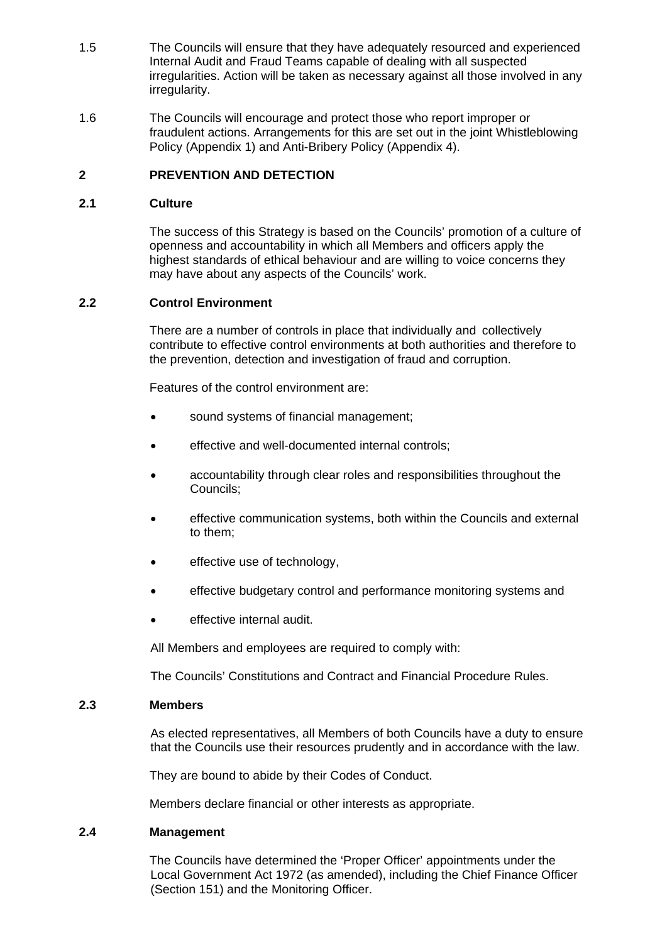- 1.5 The Councils will ensure that they have adequately resourced and experienced Internal Audit and Fraud Teams capable of dealing with all suspected irregularities. Action will be taken as necessary against all those involved in any irregularity.
- 1.6 The Councils will encourage and protect those who report improper or fraudulent actions. Arrangements for this are set out in the joint Whistleblowing Policy (Appendix 1) and Anti-Bribery Policy (Appendix 4).

# **2 PREVENTION AND DETECTION**

## **2.1 Culture**

The success of this Strategy is based on the Councils' promotion of a culture of openness and accountability in which all Members and officers apply the highest standards of ethical behaviour and are willing to voice concerns they may have about any aspects of the Councils' work.

#### **2.2 Control Environment**

 There are a number of controls in place that individually and collectively contribute to effective control environments at both authorities and therefore to the prevention, detection and investigation of fraud and corruption.

Features of the control environment are:

- sound systems of financial management;
- effective and well-documented internal controls;
- accountability through clear roles and responsibilities throughout the Councils;
- effective communication systems, both within the Councils and external to them;
- effective use of technology,
- effective budgetary control and performance monitoring systems and
- effective internal audit.

All Members and employees are required to comply with:

The Councils' Constitutions and Contract and Financial Procedure Rules.

### **2.3 Members**

As elected representatives, all Members of both Councils have a duty to ensure that the Councils use their resources prudently and in accordance with the law.

They are bound to abide by their Codes of Conduct.

Members declare financial or other interests as appropriate.

#### **2.4 Management**

 The Councils have determined the 'Proper Officer' appointments under the Local Government Act 1972 (as amended), including the Chief Finance Officer (Section 151) and the Monitoring Officer.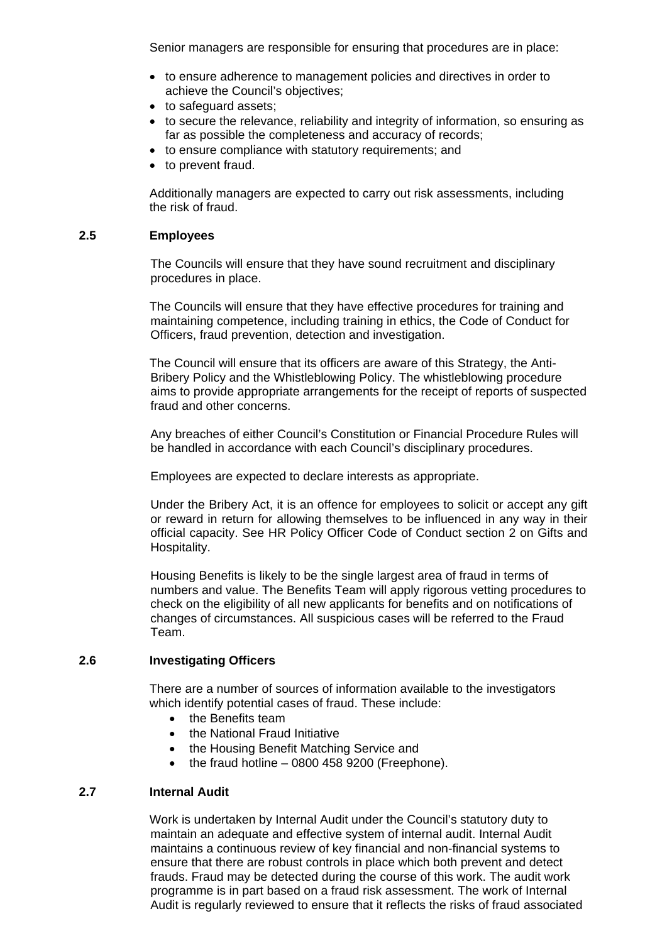Senior managers are responsible for ensuring that procedures are in place:

- to ensure adherence to management policies and directives in order to achieve the Council's objectives;
- to safeguard assets;
- to secure the relevance, reliability and integrity of information, so ensuring as far as possible the completeness and accuracy of records;
- to ensure compliance with statutory requirements; and
- to prevent fraud.

 Additionally managers are expected to carry out risk assessments, including the risk of fraud.

#### **2.5 Employees**

 The Councils will ensure that they have sound recruitment and disciplinary procedures in place.

 The Councils will ensure that they have effective procedures for training and maintaining competence, including training in ethics, the Code of Conduct for Officers, fraud prevention, detection and investigation.

 The Council will ensure that its officers are aware of this Strategy, the Anti-Bribery Policy and the Whistleblowing Policy. The whistleblowing procedure aims to provide appropriate arrangements for the receipt of reports of suspected fraud and other concerns.

 Any breaches of either Council's Constitution or Financial Procedure Rules will be handled in accordance with each Council's disciplinary procedures.

Employees are expected to declare interests as appropriate.

 Under the Bribery Act, it is an offence for employees to solicit or accept any gift or reward in return for allowing themselves to be influenced in any way in their official capacity. See HR Policy Officer Code of Conduct section 2 on Gifts and Hospitality.

 Housing Benefits is likely to be the single largest area of fraud in terms of numbers and value. The Benefits Team will apply rigorous vetting procedures to check on the eligibility of all new applicants for benefits and on notifications of changes of circumstances. All suspicious cases will be referred to the Fraud Team.

## **2.6 Investigating Officers**

 There are a number of sources of information available to the investigators which identify potential cases of fraud. These include:

- the Benefits team
- the National Fraud Initiative
- the Housing Benefit Matching Service and
- $\bullet$  the fraud hotline 0800 458 9200 (Freephone).

## **2.7 Internal Audit**

Work is undertaken by Internal Audit under the Council's statutory duty to maintain an adequate and effective system of internal audit. Internal Audit maintains a continuous review of key financial and non-financial systems to ensure that there are robust controls in place which both prevent and detect frauds. Fraud may be detected during the course of this work. The audit work programme is in part based on a fraud risk assessment. The work of Internal Audit is regularly reviewed to ensure that it reflects the risks of fraud associated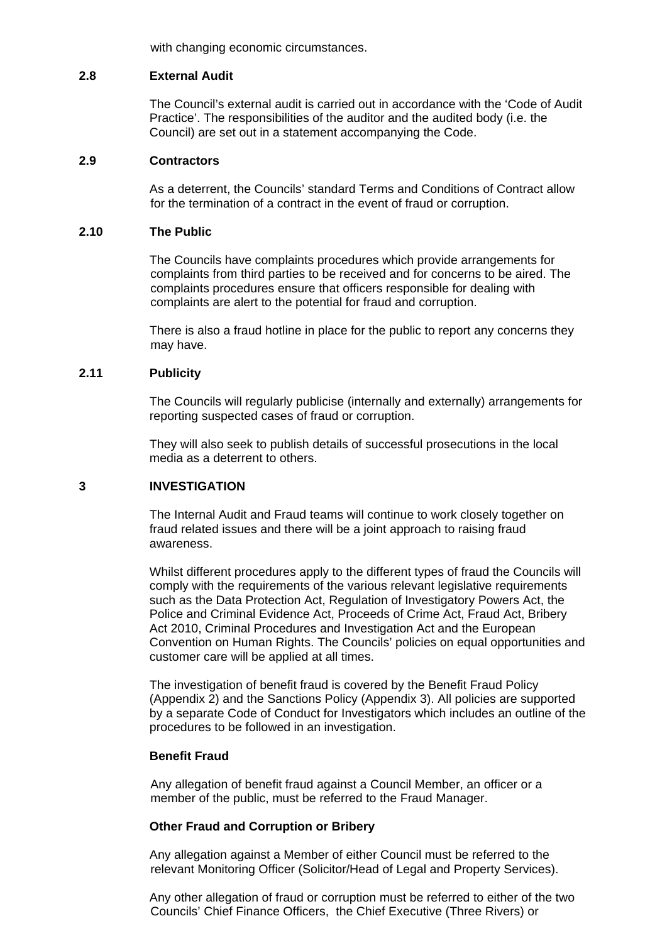with changing economic circumstances.

#### **2.8 External Audit**

The Council's external audit is carried out in accordance with the 'Code of Audit Practice'. The responsibilities of the auditor and the audited body (i.e. the Council) are set out in a statement accompanying the Code.

#### **2.9 Contractors**

 As a deterrent, the Councils' standard Terms and Conditions of Contract allow for the termination of a contract in the event of fraud or corruption.

#### **2.10 The Public**

 The Councils have complaints procedures which provide arrangements for complaints from third parties to be received and for concerns to be aired. The complaints procedures ensure that officers responsible for dealing with complaints are alert to the potential for fraud and corruption.

 There is also a fraud hotline in place for the public to report any concerns they may have.

## **2.11 Publicity**

The Councils will regularly publicise (internally and externally) arrangements for reporting suspected cases of fraud or corruption.

 They will also seek to publish details of successful prosecutions in the local media as a deterrent to others.

## **3 INVESTIGATION**

The Internal Audit and Fraud teams will continue to work closely together on fraud related issues and there will be a joint approach to raising fraud awareness.

Whilst different procedures apply to the different types of fraud the Councils will comply with the requirements of the various relevant legislative requirements such as the Data Protection Act, Regulation of Investigatory Powers Act, the Police and Criminal Evidence Act, Proceeds of Crime Act, Fraud Act, Bribery Act 2010, Criminal Procedures and Investigation Act and the European Convention on Human Rights. The Councils' policies on equal opportunities and customer care will be applied at all times.

The investigation of benefit fraud is covered by the Benefit Fraud Policy (Appendix 2) and the Sanctions Policy (Appendix 3). All policies are supported by a separate Code of Conduct for Investigators which includes an outline of the procedures to be followed in an investigation.

#### **Benefit Fraud**

 Any allegation of benefit fraud against a Council Member, an officer or a member of the public, must be referred to the Fraud Manager.

#### **Other Fraud and Corruption or Bribery**

 Any allegation against a Member of either Council must be referred to the relevant Monitoring Officer (Solicitor/Head of Legal and Property Services).

Any other allegation of fraud or corruption must be referred to either of the two Councils' Chief Finance Officers, the Chief Executive (Three Rivers) or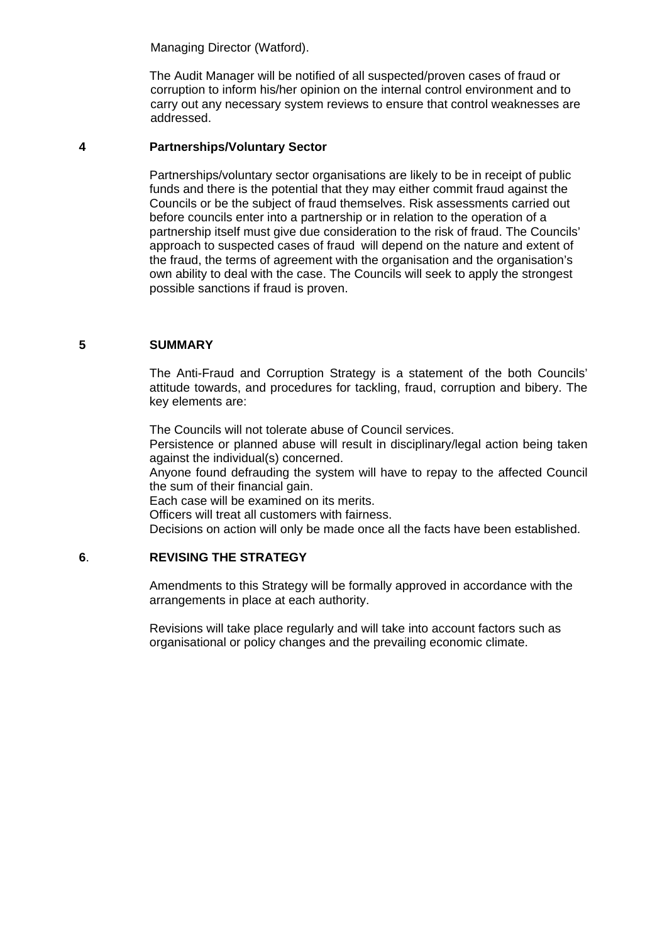Managing Director (Watford).

 The Audit Manager will be notified of all suspected/proven cases of fraud or corruption to inform his/her opinion on the internal control environment and to carry out any necessary system reviews to ensure that control weaknesses are addressed.

#### **4 Partnerships/Voluntary Sector**

 Partnerships/voluntary sector organisations are likely to be in receipt of public funds and there is the potential that they may either commit fraud against the Councils or be the subject of fraud themselves. Risk assessments carried out before councils enter into a partnership or in relation to the operation of a partnership itself must give due consideration to the risk of fraud. The Councils' approach to suspected cases of fraud will depend on the nature and extent of the fraud, the terms of agreement with the organisation and the organisation's own ability to deal with the case. The Councils will seek to apply the strongest possible sanctions if fraud is proven.

#### **5 SUMMARY**

The Anti-Fraud and Corruption Strategy is a statement of the both Councils' attitude towards, and procedures for tackling, fraud, corruption and bibery. The key elements are:

The Councils will not tolerate abuse of Council services.

Persistence or planned abuse will result in disciplinary/legal action being taken against the individual(s) concerned.

Anyone found defrauding the system will have to repay to the affected Council the sum of their financial gain.

Each case will be examined on its merits.

Officers will treat all customers with fairness.

Decisions on action will only be made once all the facts have been established.

# **6**. **REVISING THE STRATEGY**

Amendments to this Strategy will be formally approved in accordance with the arrangements in place at each authority.

Revisions will take place regularly and will take into account factors such as organisational or policy changes and the prevailing economic climate.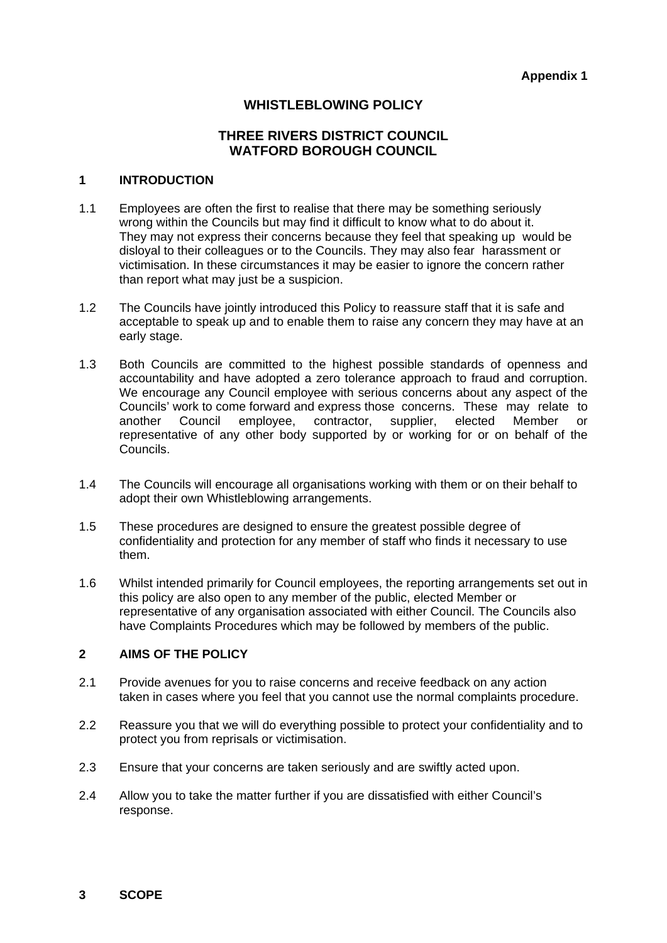# WHISTLEBLOWING POLICY

# **THREE RIVERS DISTRICT COUNCIL WATFORD BOROUGH COUNCIL**

### **1 INTRODUCTION**

- 1.1 Employees are often the first to realise that there may be something seriously wrong within the Councils but may find it difficult to know what to do about it. They may not express their concerns because they feel that speaking up would be disloyal to their colleagues or to the Councils. They may also fear harassment or victimisation. In these circumstances it may be easier to ignore the concern rather than report what may just be a suspicion.
- 1.2 The Councils have jointly introduced this Policy to reassure staff that it is safe and acceptable to speak up and to enable them to raise any concern they may have at an early stage.
- 1.3 Both Councils are committed to the highest possible standards of openness and accountability and have adopted a zero tolerance approach to fraud and corruption. We encourage any Council employee with serious concerns about any aspect of the Councils' work to come forward and express those concerns. These may relate to another Council employee, contractor, supplier, elected Member or representative of any other body supported by or working for or on behalf of the Councils.
- 1.4 The Councils will encourage all organisations working with them or on their behalf to adopt their own Whistleblowing arrangements.
- 1.5 These procedures are designed to ensure the greatest possible degree of confidentiality and protection for any member of staff who finds it necessary to use them.
- 1.6 Whilst intended primarily for Council employees, the reporting arrangements set out in this policy are also open to any member of the public, elected Member or representative of any organisation associated with either Council. The Councils also have Complaints Procedures which may be followed by members of the public.

#### **2 AIMS OF THE POLICY**

- 2.1 Provide avenues for you to raise concerns and receive feedback on any action taken in cases where you feel that you cannot use the normal complaints procedure.
- 2.2 Reassure you that we will do everything possible to protect your confidentiality and to protect you from reprisals or victimisation.
- 2.3 Ensure that your concerns are taken seriously and are swiftly acted upon.
- 2.4 Allow you to take the matter further if you are dissatisfied with either Council's response.

#### **3 SCOPE**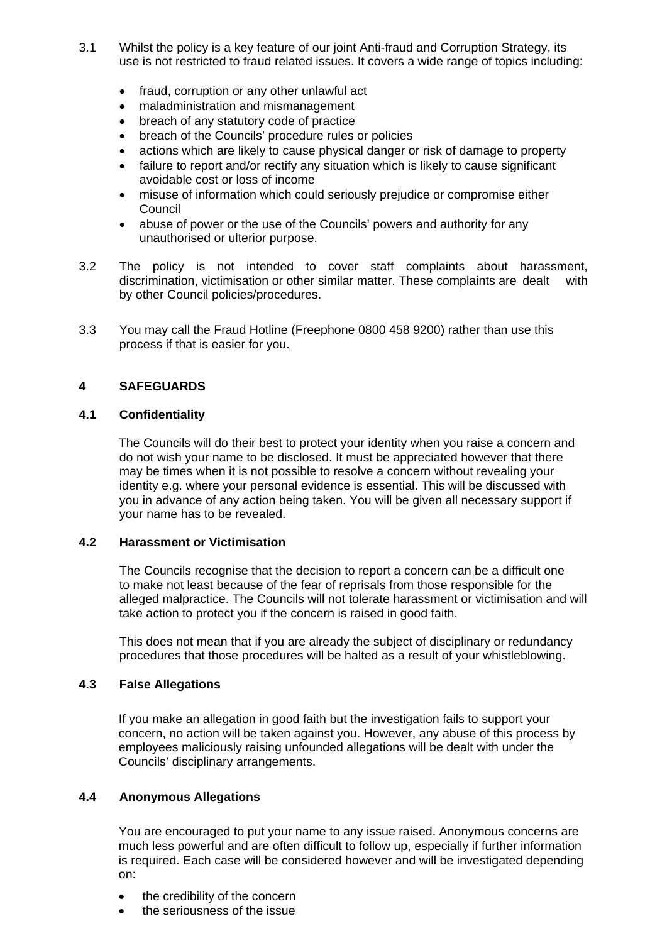- 3.1 Whilst the policy is a key feature of our joint Anti-fraud and Corruption Strategy, its use is not restricted to fraud related issues. It covers a wide range of topics including:
	- fraud, corruption or any other unlawful act
	- maladministration and mismanagement
	- breach of any statutory code of practice
	- breach of the Councils' procedure rules or policies
	- actions which are likely to cause physical danger or risk of damage to property
	- failure to report and/or rectify any situation which is likely to cause significant avoidable cost or loss of income
	- misuse of information which could seriously prejudice or compromise either **Council**
	- abuse of power or the use of the Councils' powers and authority for any unauthorised or ulterior purpose.
- 3.2 The policy is not intended to cover staff complaints about harassment, discrimination, victimisation or other similar matter. These complaints are dealt with by other Council policies/procedures.
- 3.3 You may call the Fraud Hotline (Freephone 0800 458 9200) rather than use this process if that is easier for you.

# **4 SAFEGUARDS**

# **4.1 Confidentiality**

The Councils will do their best to protect your identity when you raise a concern and do not wish your name to be disclosed. It must be appreciated however that there may be times when it is not possible to resolve a concern without revealing your identity e.g. where your personal evidence is essential. This will be discussed with you in advance of any action being taken. You will be given all necessary support if your name has to be revealed.

## **4.2 Harassment or Victimisation**

 The Councils recognise that the decision to report a concern can be a difficult one to make not least because of the fear of reprisals from those responsible for the alleged malpractice. The Councils will not tolerate harassment or victimisation and will take action to protect you if the concern is raised in good faith.

 This does not mean that if you are already the subject of disciplinary or redundancy procedures that those procedures will be halted as a result of your whistleblowing.

## **4.3 False Allegations**

If you make an allegation in good faith but the investigation fails to support your concern, no action will be taken against you. However, any abuse of this process by employees maliciously raising unfounded allegations will be dealt with under the Councils' disciplinary arrangements.

## **4.4 Anonymous Allegations**

You are encouraged to put your name to any issue raised. Anonymous concerns are much less powerful and are often difficult to follow up, especially if further information is required. Each case will be considered however and will be investigated depending on:

- the credibility of the concern
- the seriousness of the issue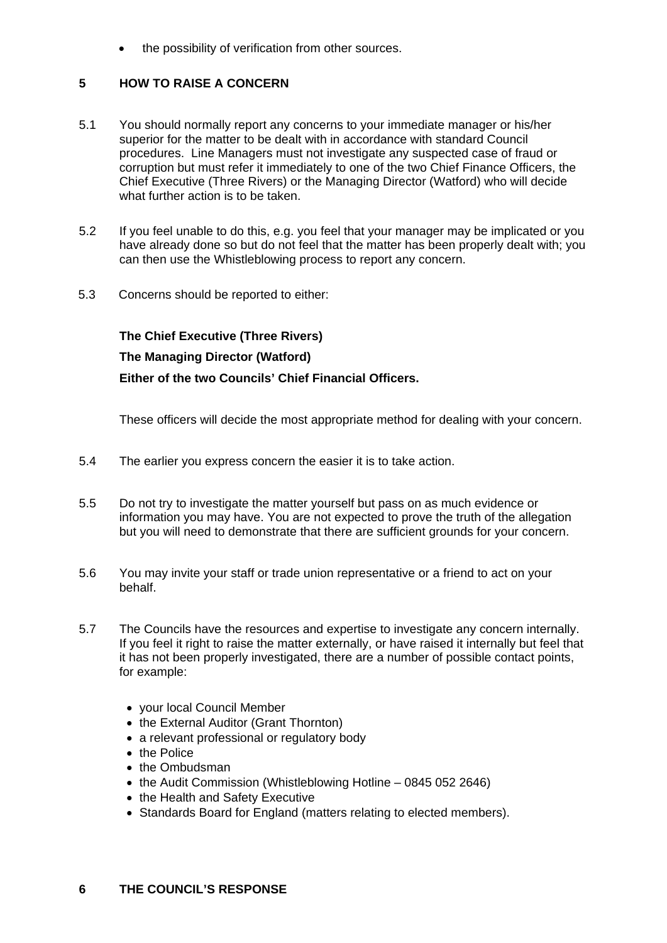the possibility of verification from other sources.

# **5 HOW TO RAISE A CONCERN**

- 5.1 You should normally report any concerns to your immediate manager or his/her superior for the matter to be dealt with in accordance with standard Council procedures. Line Managers must not investigate any suspected case of fraud or corruption but must refer it immediately to one of the two Chief Finance Officers, the Chief Executive (Three Rivers) or the Managing Director (Watford) who will decide what further action is to be taken.
- 5.2 If you feel unable to do this, e.g. you feel that your manager may be implicated or you have already done so but do not feel that the matter has been properly dealt with; you can then use the Whistleblowing process to report any concern.
- 5.3 Concerns should be reported to either:

 **The Chief Executive (Three Rivers)** 

# **The Managing Director (Watford)**

 **Either of the two Councils' Chief Financial Officers.** 

These officers will decide the most appropriate method for dealing with your concern.

- 5.4 The earlier you express concern the easier it is to take action.
- 5.5 Do not try to investigate the matter yourself but pass on as much evidence or information you may have. You are not expected to prove the truth of the allegation but you will need to demonstrate that there are sufficient grounds for your concern.
- 5.6 You may invite your staff or trade union representative or a friend to act on your behalf.
- 5.7 The Councils have the resources and expertise to investigate any concern internally. If you feel it right to raise the matter externally, or have raised it internally but feel that it has not been properly investigated, there are a number of possible contact points, for example:
	- your local Council Member
	- the External Auditor (Grant Thornton)
	- a relevant professional or regulatory body
	- the Police
	- the Ombudsman
	- the Audit Commission (Whistleblowing Hotline 0845 052 2646)
	- the Health and Safety Executive
	- Standards Board for England (matters relating to elected members).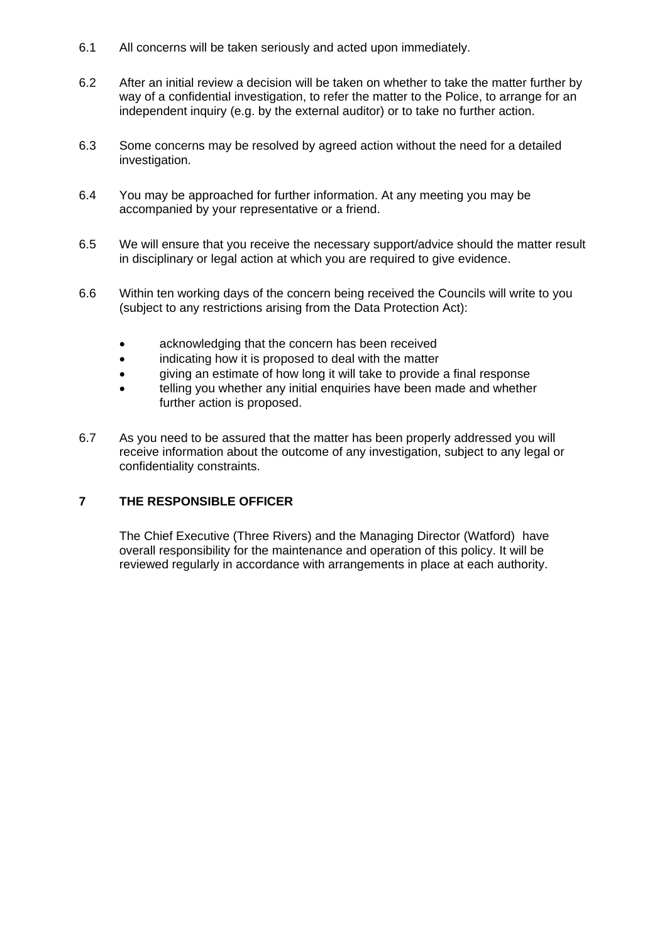- 6.1 All concerns will be taken seriously and acted upon immediately.
- 6.2 After an initial review a decision will be taken on whether to take the matter further by way of a confidential investigation, to refer the matter to the Police, to arrange for an independent inquiry (e.g. by the external auditor) or to take no further action.
- 6.3 Some concerns may be resolved by agreed action without the need for a detailed investigation.
- 6.4 You may be approached for further information. At any meeting you may be accompanied by your representative or a friend.
- 6.5 We will ensure that you receive the necessary support/advice should the matter result in disciplinary or legal action at which you are required to give evidence.
- 6.6 Within ten working days of the concern being received the Councils will write to you (subject to any restrictions arising from the Data Protection Act):
	- acknowledging that the concern has been received
	- indicating how it is proposed to deal with the matter
	- giving an estimate of how long it will take to provide a final response
	- telling you whether any initial enquiries have been made and whether further action is proposed.
- 6.7 As you need to be assured that the matter has been properly addressed you will receive information about the outcome of any investigation, subject to any legal or confidentiality constraints.

# **7 THE RESPONSIBLE OFFICER**

 The Chief Executive (Three Rivers) and the Managing Director (Watford) have overall responsibility for the maintenance and operation of this policy. It will be reviewed regularly in accordance with arrangements in place at each authority.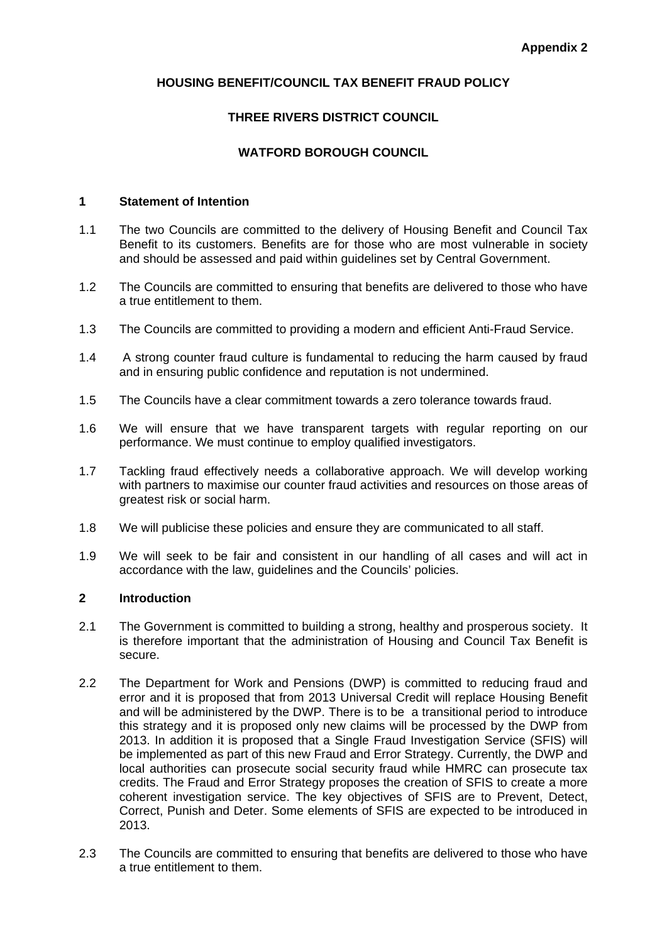# **HOUSING BENEFIT/COUNCIL TAX BENEFIT FRAUD POLICY**

# **THREE RIVERS DISTRICT COUNCIL**

# **WATFORD BOROUGH COUNCIL**

#### **1 Statement of Intention**

- 1.1 The two Councils are committed to the delivery of Housing Benefit and Council Tax Benefit to its customers. Benefits are for those who are most vulnerable in society and should be assessed and paid within guidelines set by Central Government.
- 1.2 The Councils are committed to ensuring that benefits are delivered to those who have a true entitlement to them.
- 1.3 The Councils are committed to providing a modern and efficient Anti-Fraud Service.
- 1.4 A strong counter fraud culture is fundamental to reducing the harm caused by fraud and in ensuring public confidence and reputation is not undermined.
- 1.5 The Councils have a clear commitment towards a zero tolerance towards fraud.
- 1.6 We will ensure that we have transparent targets with regular reporting on our performance. We must continue to employ qualified investigators.
- 1.7 Tackling fraud effectively needs a collaborative approach. We will develop working with partners to maximise our counter fraud activities and resources on those areas of greatest risk or social harm.
- 1.8 We will publicise these policies and ensure they are communicated to all staff.
- 1.9 We will seek to be fair and consistent in our handling of all cases and will act in accordance with the law, guidelines and the Councils' policies.

### **2 Introduction**

- 2.1 The Government is committed to building a strong, healthy and prosperous society. It is therefore important that the administration of Housing and Council Tax Benefit is secure.
- 2.2 The Department for Work and Pensions (DWP) is committed to reducing fraud and error and it is proposed that from 2013 Universal Credit will replace Housing Benefit and will be administered by the DWP. There is to be a transitional period to introduce this strategy and it is proposed only new claims will be processed by the DWP from 2013. In addition it is proposed that a Single Fraud Investigation Service (SFIS) will be implemented as part of this new Fraud and Error Strategy. Currently, the DWP and local authorities can prosecute social security fraud while HMRC can prosecute tax credits. The Fraud and Error Strategy proposes the creation of SFIS to create a more coherent investigation service. The key objectives of SFIS are to Prevent, Detect, Correct, Punish and Deter. Some elements of SFIS are expected to be introduced in 2013.
- 2.3 The Councils are committed to ensuring that benefits are delivered to those who have a true entitlement to them.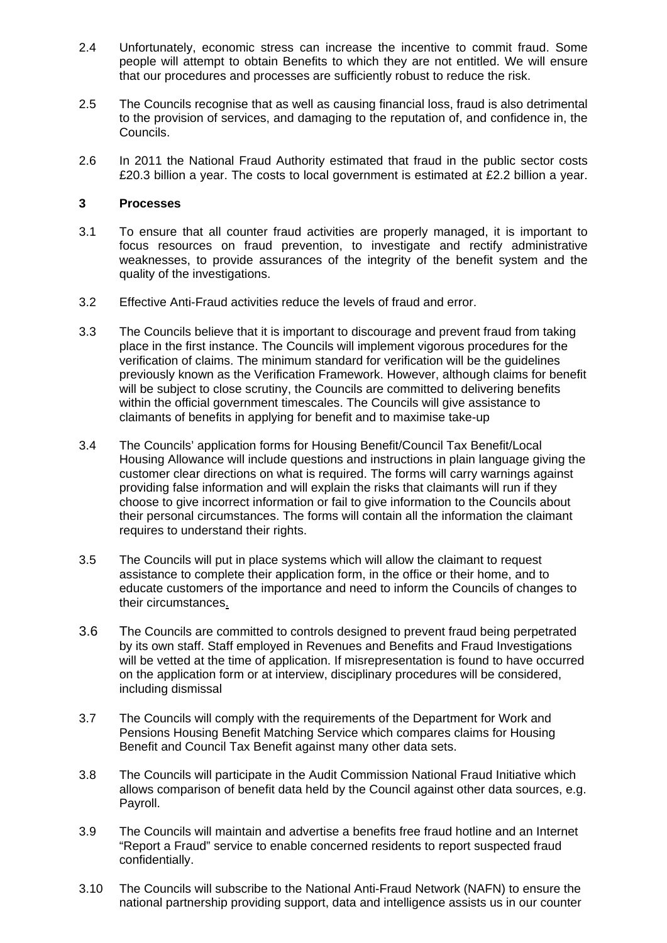- 2.4 Unfortunately, economic stress can increase the incentive to commit fraud. Some people will attempt to obtain Benefits to which they are not entitled. We will ensure that our procedures and processes are sufficiently robust to reduce the risk.
- 2.5 The Councils recognise that as well as causing financial loss, fraud is also detrimental to the provision of services, and damaging to the reputation of, and confidence in, the Councils.
- 2.6 In 2011 the National Fraud Authority estimated that fraud in the public sector costs £20.3 billion a year. The costs to local government is estimated at £2.2 billion a year.

#### **3 Processes**

- 3.1 To ensure that all counter fraud activities are properly managed, it is important to focus resources on fraud prevention, to investigate and rectify administrative weaknesses, to provide assurances of the integrity of the benefit system and the quality of the investigations.
- 3.2 Effective Anti-Fraud activities reduce the levels of fraud and error.
- 3.3 The Councils believe that it is important to discourage and prevent fraud from taking place in the first instance. The Councils will implement vigorous procedures for the verification of claims. The minimum standard for verification will be the guidelines previously known as the Verification Framework. However, although claims for benefit will be subject to close scrutiny, the Councils are committed to delivering benefits within the official government timescales. The Councils will give assistance to claimants of benefits in applying for benefit and to maximise take-up
- 3.4 The Councils' application forms for Housing Benefit/Council Tax Benefit/Local Housing Allowance will include questions and instructions in plain language giving the customer clear directions on what is required. The forms will carry warnings against providing false information and will explain the risks that claimants will run if they choose to give incorrect information or fail to give information to the Councils about their personal circumstances. The forms will contain all the information the claimant requires to understand their rights.
- 3.5 The Councils will put in place systems which will allow the claimant to request assistance to complete their application form, in the office or their home, and to educate customers of the importance and need to inform the Councils of changes to their circumstances.
- 3.6 The Councils are committed to controls designed to prevent fraud being perpetrated by its own staff. Staff employed in Revenues and Benefits and Fraud Investigations will be vetted at the time of application. If misrepresentation is found to have occurred on the application form or at interview, disciplinary procedures will be considered, including dismissal
- 3.7 The Councils will comply with the requirements of the Department for Work and Pensions Housing Benefit Matching Service which compares claims for Housing Benefit and Council Tax Benefit against many other data sets.
- 3.8 The Councils will participate in the Audit Commission National Fraud Initiative which allows comparison of benefit data held by the Council against other data sources, e.g. Payroll.
- 3.9 The Councils will maintain and advertise a benefits free fraud hotline and an Internet "Report a Fraud" service to enable concerned residents to report suspected fraud confidentially.
- 3.10 The Councils will subscribe to the National Anti-Fraud Network (NAFN) to ensure the national partnership providing support, data and intelligence assists us in our counter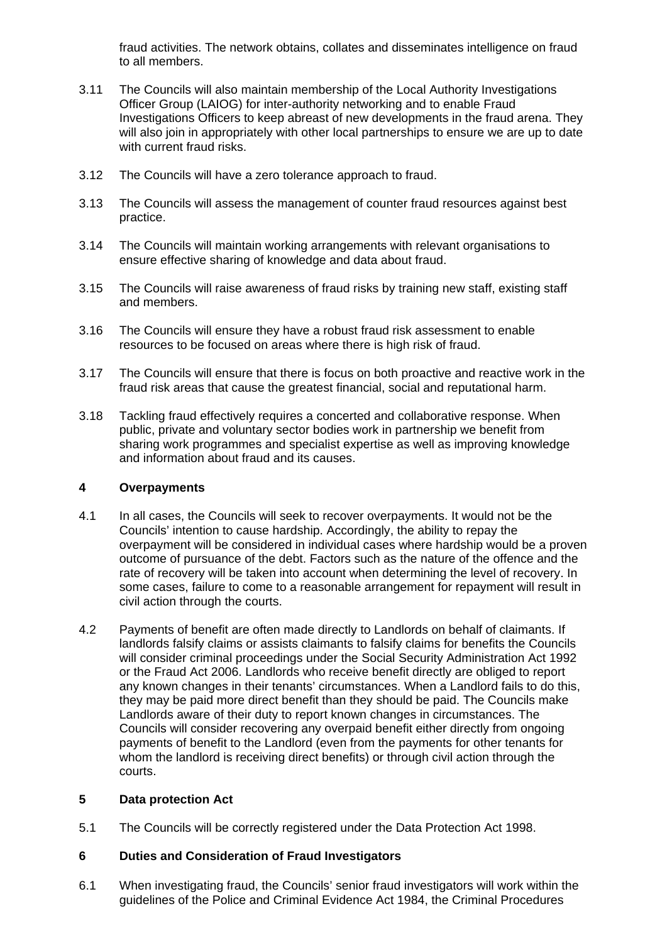fraud activities. The network obtains, collates and disseminates intelligence on fraud to all members.

- 3.11 The Councils will also maintain membership of the Local Authority Investigations Officer Group (LAIOG) for inter-authority networking and to enable Fraud Investigations Officers to keep abreast of new developments in the fraud arena. They will also join in appropriately with other local partnerships to ensure we are up to date with current fraud risks.
- 3.12 The Councils will have a zero tolerance approach to fraud.
- 3.13 The Councils will assess the management of counter fraud resources against best practice.
- 3.14 The Councils will maintain working arrangements with relevant organisations to ensure effective sharing of knowledge and data about fraud.
- 3.15 The Councils will raise awareness of fraud risks by training new staff, existing staff and members.
- 3.16 The Councils will ensure they have a robust fraud risk assessment to enable resources to be focused on areas where there is high risk of fraud.
- 3.17 The Councils will ensure that there is focus on both proactive and reactive work in the fraud risk areas that cause the greatest financial, social and reputational harm.
- 3.18 Tackling fraud effectively requires a concerted and collaborative response. When public, private and voluntary sector bodies work in partnership we benefit from sharing work programmes and specialist expertise as well as improving knowledge and information about fraud and its causes.

#### **4 Overpayments**

- 4.1 In all cases, the Councils will seek to recover overpayments. It would not be the Councils' intention to cause hardship. Accordingly, the ability to repay the overpayment will be considered in individual cases where hardship would be a proven outcome of pursuance of the debt. Factors such as the nature of the offence and the rate of recovery will be taken into account when determining the level of recovery. In some cases, failure to come to a reasonable arrangement for repayment will result in civil action through the courts.
- 4.2 Payments of benefit are often made directly to Landlords on behalf of claimants. If landlords falsify claims or assists claimants to falsify claims for benefits the Councils will consider criminal proceedings under the Social Security Administration Act 1992 or the Fraud Act 2006. Landlords who receive benefit directly are obliged to report any known changes in their tenants' circumstances. When a Landlord fails to do this, they may be paid more direct benefit than they should be paid. The Councils make Landlords aware of their duty to report known changes in circumstances. The Councils will consider recovering any overpaid benefit either directly from ongoing payments of benefit to the Landlord (even from the payments for other tenants for whom the landlord is receiving direct benefits) or through civil action through the courts.

## **5 Data protection Act**

5.1 The Councils will be correctly registered under the Data Protection Act 1998.

## **6 Duties and Consideration of Fraud Investigators**

6.1 When investigating fraud, the Councils' senior fraud investigators will work within the guidelines of the Police and Criminal Evidence Act 1984, the Criminal Procedures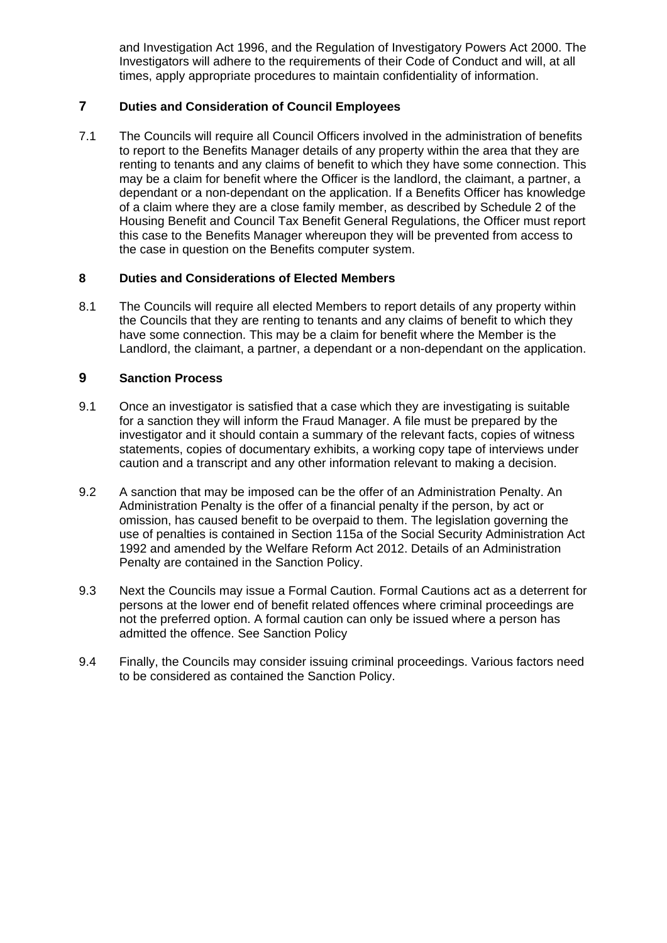and Investigation Act 1996, and the Regulation of Investigatory Powers Act 2000. The Investigators will adhere to the requirements of their Code of Conduct and will, at all times, apply appropriate procedures to maintain confidentiality of information.

# **7 Duties and Consideration of Council Employees**

7.1 The Councils will require all Council Officers involved in the administration of benefits to report to the Benefits Manager details of any property within the area that they are renting to tenants and any claims of benefit to which they have some connection. This may be a claim for benefit where the Officer is the landlord, the claimant, a partner, a dependant or a non-dependant on the application. If a Benefits Officer has knowledge of a claim where they are a close family member, as described by Schedule 2 of the Housing Benefit and Council Tax Benefit General Regulations, the Officer must report this case to the Benefits Manager whereupon they will be prevented from access to the case in question on the Benefits computer system.

## **8 Duties and Considerations of Elected Members**

8.1 The Councils will require all elected Members to report details of any property within the Councils that they are renting to tenants and any claims of benefit to which they have some connection. This may be a claim for benefit where the Member is the Landlord, the claimant, a partner, a dependant or a non-dependant on the application.

# **9 Sanction Process**

- 9.1 Once an investigator is satisfied that a case which they are investigating is suitable for a sanction they will inform the Fraud Manager. A file must be prepared by the investigator and it should contain a summary of the relevant facts, copies of witness statements, copies of documentary exhibits, a working copy tape of interviews under caution and a transcript and any other information relevant to making a decision.
- 9.2 A sanction that may be imposed can be the offer of an Administration Penalty. An Administration Penalty is the offer of a financial penalty if the person, by act or omission, has caused benefit to be overpaid to them. The legislation governing the use of penalties is contained in Section 115a of the Social Security Administration Act 1992 and amended by the Welfare Reform Act 2012. Details of an Administration Penalty are contained in the Sanction Policy.
- 9.3 Next the Councils may issue a Formal Caution. Formal Cautions act as a deterrent for persons at the lower end of benefit related offences where criminal proceedings are not the preferred option. A formal caution can only be issued where a person has admitted the offence. See Sanction Policy
- 9.4 Finally, the Councils may consider issuing criminal proceedings. Various factors need to be considered as contained the Sanction Policy.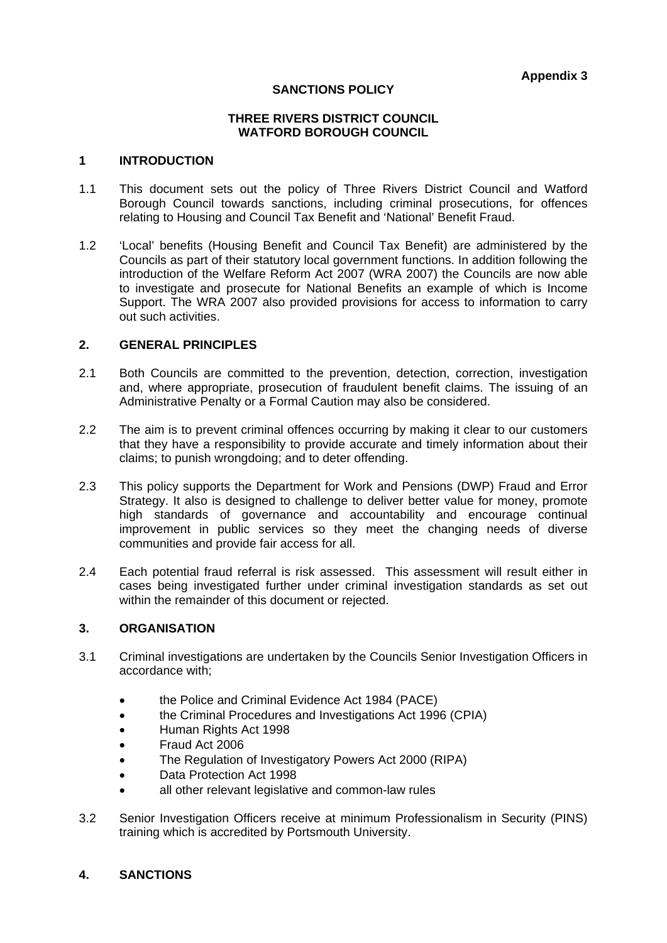#### **SANCTIONS POLICY**

#### **THREE RIVERS DISTRICT COUNCIL WATFORD BOROUGH COUNCIL**

#### **1 INTRODUCTION**

- 1.1 This document sets out the policy of Three Rivers District Council and Watford Borough Council towards sanctions, including criminal prosecutions, for offences relating to Housing and Council Tax Benefit and 'National' Benefit Fraud.
- 1.2 'Local' benefits (Housing Benefit and Council Tax Benefit) are administered by the Councils as part of their statutory local government functions. In addition following the introduction of the Welfare Reform Act 2007 (WRA 2007) the Councils are now able to investigate and prosecute for National Benefits an example of which is Income Support. The WRA 2007 also provided provisions for access to information to carry out such activities.

#### **2. GENERAL PRINCIPLES**

- 2.1 Both Councils are committed to the prevention, detection, correction, investigation and, where appropriate, prosecution of fraudulent benefit claims. The issuing of an Administrative Penalty or a Formal Caution may also be considered.
- 2.2 The aim is to prevent criminal offences occurring by making it clear to our customers that they have a responsibility to provide accurate and timely information about their claims; to punish wrongdoing; and to deter offending.
- 2.3 This policy supports the Department for Work and Pensions (DWP) Fraud and Error Strategy. It also is designed to challenge to deliver better value for money, promote high standards of governance and accountability and encourage continual improvement in public services so they meet the changing needs of diverse communities and provide fair access for all.
- 2.4 Each potential fraud referral is risk assessed. This assessment will result either in cases being investigated further under criminal investigation standards as set out within the remainder of this document or rejected.

#### **3. ORGANISATION**

- 3.1 Criminal investigations are undertaken by the Councils Senior Investigation Officers in accordance with;
	- the Police and Criminal Evidence Act 1984 (PACE)
	- the Criminal Procedures and Investigations Act 1996 (CPIA)
	- Human Rights Act 1998
	- Fraud Act 2006
	- The Regulation of Investigatory Powers Act 2000 (RIPA)
	- Data Protection Act 1998
	- all other relevant legislative and common-law rules
- 3.2 Senior Investigation Officers receive at minimum Professionalism in Security (PINS) training which is accredited by Portsmouth University.

## **4. SANCTIONS**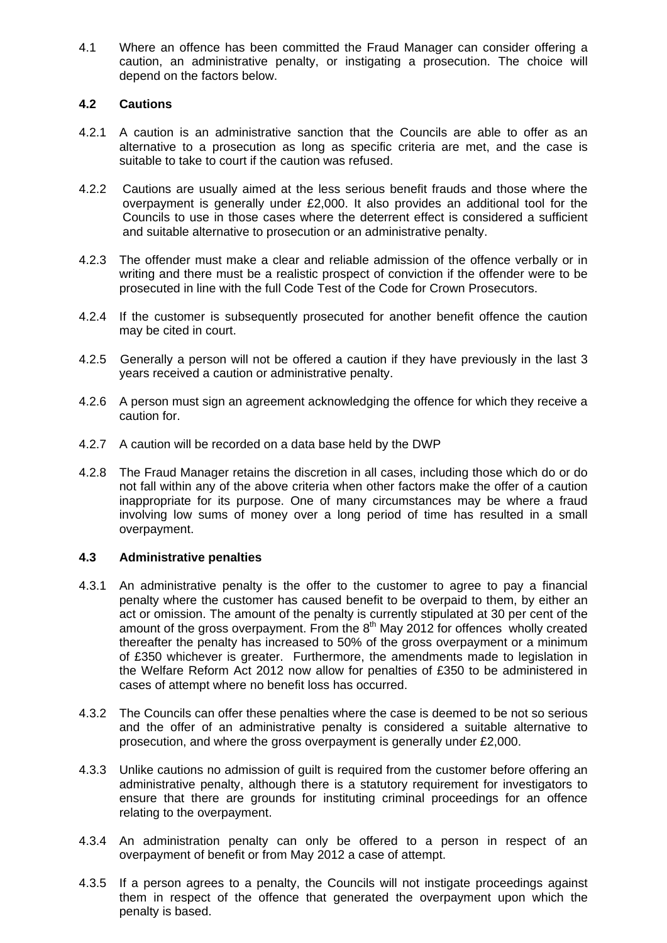4.1 Where an offence has been committed the Fraud Manager can consider offering a caution, an administrative penalty, or instigating a prosecution. The choice will depend on the factors below.

# **4.2 Cautions**

- 4.2.1 A caution is an administrative sanction that the Councils are able to offer as an alternative to a prosecution as long as specific criteria are met, and the case is suitable to take to court if the caution was refused.
- 4.2.2 Cautions are usually aimed at the less serious benefit frauds and those where the overpayment is generally under £2,000. It also provides an additional tool for the Councils to use in those cases where the deterrent effect is considered a sufficient and suitable alternative to prosecution or an administrative penalty.
- 4.2.3 The offender must make a clear and reliable admission of the offence verbally or in writing and there must be a realistic prospect of conviction if the offender were to be prosecuted in line with the full Code Test of the Code for Crown Prosecutors.
- 4.2.4 If the customer is subsequently prosecuted for another benefit offence the caution may be cited in court.
- 4.2.5 Generally a person will not be offered a caution if they have previously in the last 3 years received a caution or administrative penalty.
- 4.2.6 A person must sign an agreement acknowledging the offence for which they receive a caution for.
- 4.2.7 A caution will be recorded on a data base held by the DWP
- 4.2.8 The Fraud Manager retains the discretion in all cases, including those which do or do not fall within any of the above criteria when other factors make the offer of a caution inappropriate for its purpose. One of many circumstances may be where a fraud involving low sums of money over a long period of time has resulted in a small overpayment.

## **4.3 Administrative penalties**

- 4.3.1 An administrative penalty is the offer to the customer to agree to pay a financial penalty where the customer has caused benefit to be overpaid to them, by either an act or omission. The amount of the penalty is currently stipulated at 30 per cent of the amount of the gross overpayment. From the  $8<sup>th</sup>$  May 2012 for offences wholly created thereafter the penalty has increased to 50% of the gross overpayment or a minimum of £350 whichever is greater. Furthermore, the amendments made to legislation in the Welfare Reform Act 2012 now allow for penalties of £350 to be administered in cases of attempt where no benefit loss has occurred.
- 4.3.2 The Councils can offer these penalties where the case is deemed to be not so serious and the offer of an administrative penalty is considered a suitable alternative to prosecution, and where the gross overpayment is generally under £2,000.
- 4.3.3 Unlike cautions no admission of guilt is required from the customer before offering an administrative penalty, although there is a statutory requirement for investigators to ensure that there are grounds for instituting criminal proceedings for an offence relating to the overpayment.
- 4.3.4 An administration penalty can only be offered to a person in respect of an overpayment of benefit or from May 2012 a case of attempt.
- 4.3.5 If a person agrees to a penalty, the Councils will not instigate proceedings against them in respect of the offence that generated the overpayment upon which the penalty is based.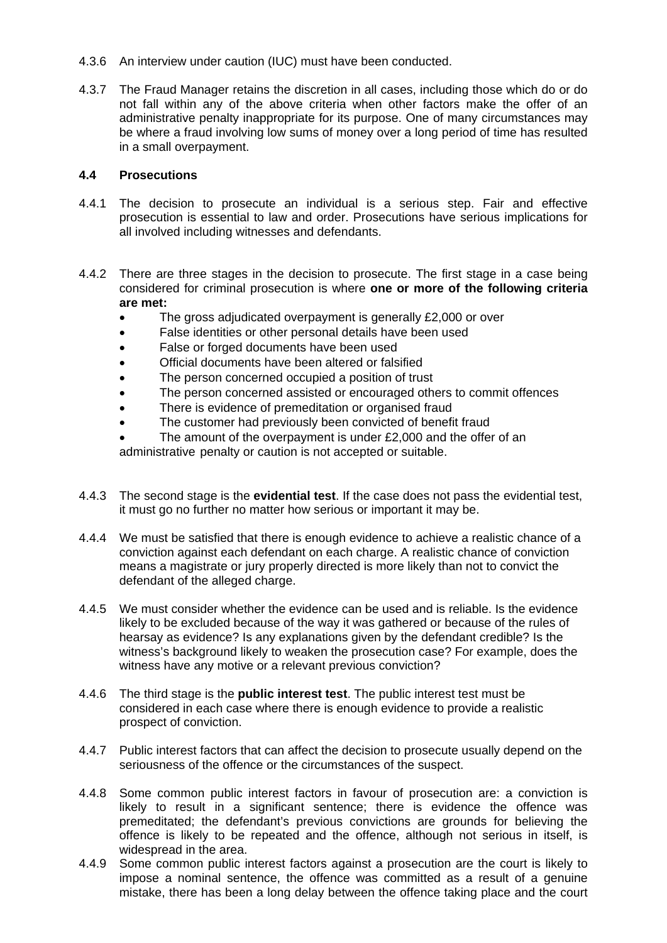- 4.3.6 An interview under caution (IUC) must have been conducted.
- 4.3.7 The Fraud Manager retains the discretion in all cases, including those which do or do not fall within any of the above criteria when other factors make the offer of an administrative penalty inappropriate for its purpose. One of many circumstances may be where a fraud involving low sums of money over a long period of time has resulted in a small overpayment.

#### **4.4 Prosecutions**

- 4.4.1 The decision to prosecute an individual is a serious step. Fair and effective prosecution is essential to law and order. Prosecutions have serious implications for all involved including witnesses and defendants.
- 4.4.2 There are three stages in the decision to prosecute. The first stage in a case being considered for criminal prosecution is where **one or more of the following criteria are met:** 
	- The gross adjudicated overpayment is generally £2,000 or over
	- False identities or other personal details have been used
	- False or forged documents have been used
	- Official documents have been altered or falsified
	- The person concerned occupied a position of trust
	- The person concerned assisted or encouraged others to commit offences
	- There is evidence of premeditation or organised fraud
	- The customer had previously been convicted of benefit fraud
	- The amount of the overpayment is under £2,000 and the offer of an administrative penalty or caution is not accepted or suitable.
- 4.4.3 The second stage is the **evidential test**. If the case does not pass the evidential test, it must go no further no matter how serious or important it may be.
- 4.4.4 We must be satisfied that there is enough evidence to achieve a realistic chance of a conviction against each defendant on each charge. A realistic chance of conviction means a magistrate or jury properly directed is more likely than not to convict the defendant of the alleged charge.
- 4.4.5 We must consider whether the evidence can be used and is reliable. Is the evidence likely to be excluded because of the way it was gathered or because of the rules of hearsay as evidence? Is any explanations given by the defendant credible? Is the witness's background likely to weaken the prosecution case? For example, does the witness have any motive or a relevant previous conviction?
- 4.4.6 The third stage is the **public interest test**. The public interest test must be considered in each case where there is enough evidence to provide a realistic prospect of conviction.
- 4.4.7 Public interest factors that can affect the decision to prosecute usually depend on the seriousness of the offence or the circumstances of the suspect.
- 4.4.8 Some common public interest factors in favour of prosecution are: a conviction is likely to result in a significant sentence; there is evidence the offence was premeditated; the defendant's previous convictions are grounds for believing the offence is likely to be repeated and the offence, although not serious in itself, is widespread in the area.
- 4.4.9 Some common public interest factors against a prosecution are the court is likely to impose a nominal sentence, the offence was committed as a result of a genuine mistake, there has been a long delay between the offence taking place and the court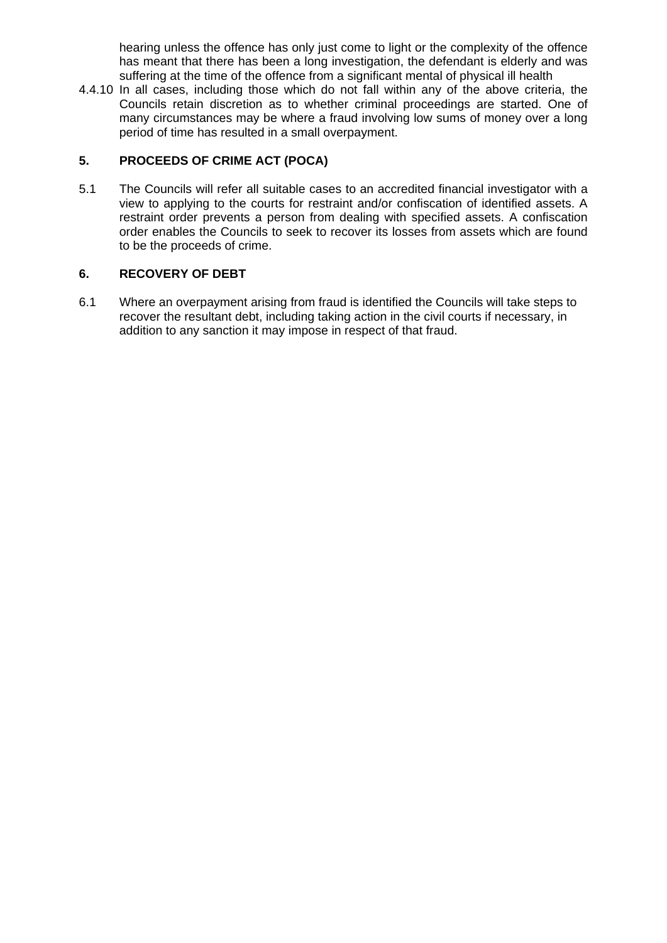hearing unless the offence has only just come to light or the complexity of the offence has meant that there has been a long investigation, the defendant is elderly and was suffering at the time of the offence from a significant mental of physical ill health

4.4.10 In all cases, including those which do not fall within any of the above criteria, the Councils retain discretion as to whether criminal proceedings are started. One of many circumstances may be where a fraud involving low sums of money over a long period of time has resulted in a small overpayment.

# **5. PROCEEDS OF CRIME ACT (POCA)**

5.1 The Councils will refer all suitable cases to an accredited financial investigator with a view to applying to the courts for restraint and/or confiscation of identified assets. A restraint order prevents a person from dealing with specified assets. A confiscation order enables the Councils to seek to recover its losses from assets which are found to be the proceeds of crime.

## **6. RECOVERY OF DEBT**

6.1 Where an overpayment arising from fraud is identified the Councils will take steps to recover the resultant debt, including taking action in the civil courts if necessary, in addition to any sanction it may impose in respect of that fraud.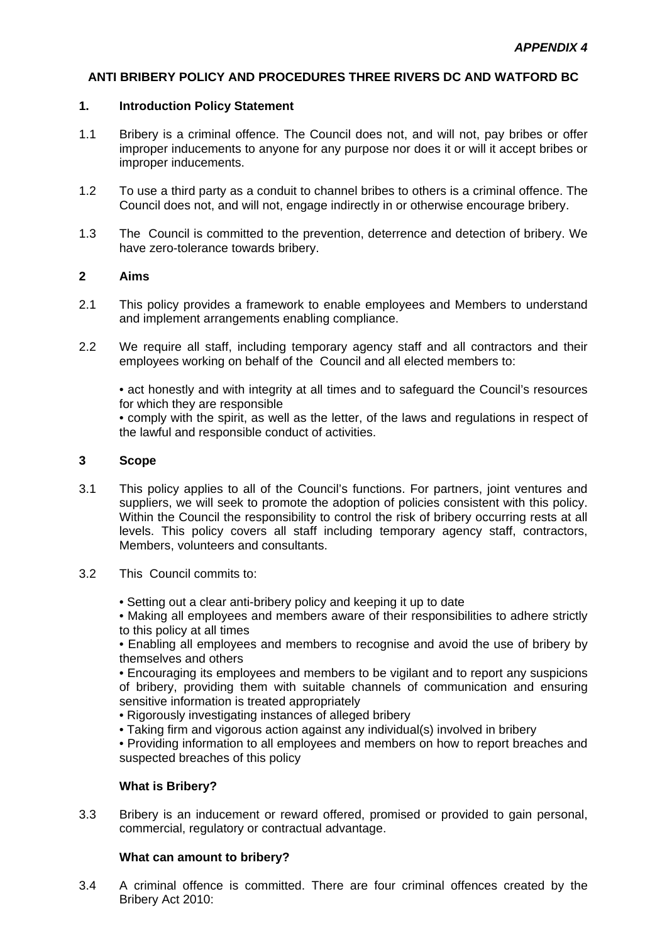#### **ANTI BRIBERY POLICY AND PROCEDURES THREE RIVERS DC AND WATFORD BC**

#### **1. Introduction Policy Statement**

- 1.1 Bribery is a criminal offence. The Council does not, and will not, pay bribes or offer improper inducements to anyone for any purpose nor does it or will it accept bribes or improper inducements.
- 1.2 To use a third party as a conduit to channel bribes to others is a criminal offence. The Council does not, and will not, engage indirectly in or otherwise encourage bribery.
- 1.3 The Council is committed to the prevention, deterrence and detection of bribery. We have zero-tolerance towards bribery.

### **2 Aims**

- 2.1 This policy provides a framework to enable employees and Members to understand and implement arrangements enabling compliance.
- 2.2 We require all staff, including temporary agency staff and all contractors and their employees working on behalf of the Council and all elected members to:

 • act honestly and with integrity at all times and to safeguard the Council's resources for which they are responsible

 • comply with the spirit, as well as the letter, of the laws and regulations in respect of the lawful and responsible conduct of activities.

#### **3 Scope**

- 3.1 This policy applies to all of the Council's functions. For partners, joint ventures and suppliers, we will seek to promote the adoption of policies consistent with this policy. Within the Council the responsibility to control the risk of bribery occurring rests at all levels. This policy covers all staff including temporary agency staff, contractors, Members, volunteers and consultants.
- 3.2 This Council commits to:
	- Setting out a clear anti-bribery policy and keeping it up to date

 • Making all employees and members aware of their responsibilities to adhere strictly to this policy at all times

 • Enabling all employees and members to recognise and avoid the use of bribery by themselves and others

 • Encouraging its employees and members to be vigilant and to report any suspicions of bribery, providing them with suitable channels of communication and ensuring sensitive information is treated appropriately

- Rigorously investigating instances of alleged bribery
- Taking firm and vigorous action against any individual(s) involved in bribery

 • Providing information to all employees and members on how to report breaches and suspected breaches of this policy

## **What is Bribery?**

3.3 Bribery is an inducement or reward offered, promised or provided to gain personal, commercial, regulatory or contractual advantage.

## **What can amount to bribery?**

3.4 A criminal offence is committed. There are four criminal offences created by the Bribery Act 2010: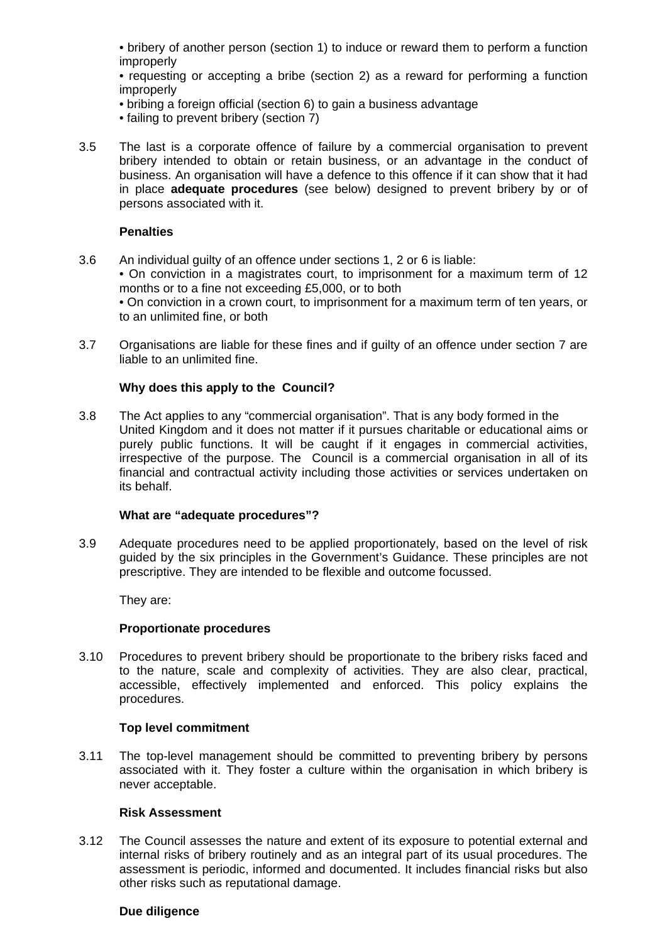• bribery of another person (section 1) to induce or reward them to perform a function improperly

 • requesting or accepting a bribe (section 2) as a reward for performing a function improperly

- bribing a foreign official (section 6) to gain a business advantage
- failing to prevent bribery (section 7)
- 3.5 The last is a corporate offence of failure by a commercial organisation to prevent bribery intended to obtain or retain business, or an advantage in the conduct of business. An organisation will have a defence to this offence if it can show that it had in place **adequate procedures** (see below) designed to prevent bribery by or of persons associated with it.

#### **Penalties**

- 3.6 An individual guilty of an offence under sections 1, 2 or 6 is liable: • On conviction in a magistrates court, to imprisonment for a maximum term of 12 months or to a fine not exceeding £5,000, or to both • On conviction in a crown court, to imprisonment for a maximum term of ten years, or to an unlimited fine, or both
- 3.7 Organisations are liable for these fines and if guilty of an offence under section 7 are liable to an unlimited fine.

## **Why does this apply to the Council?**

3.8 The Act applies to any "commercial organisation". That is any body formed in the United Kingdom and it does not matter if it pursues charitable or educational aims or purely public functions. It will be caught if it engages in commercial activities, irrespective of the purpose. The Council is a commercial organisation in all of its financial and contractual activity including those activities or services undertaken on its behalf.

#### **What are "adequate procedures"?**

3.9 Adequate procedures need to be applied proportionately, based on the level of risk guided by the six principles in the Government's Guidance. These principles are not prescriptive. They are intended to be flexible and outcome focussed.

They are:

#### **Proportionate procedures**

3.10 Procedures to prevent bribery should be proportionate to the bribery risks faced and to the nature, scale and complexity of activities. They are also clear, practical, accessible, effectively implemented and enforced. This policy explains the procedures.

#### **Top level commitment**

3.11 The top-level management should be committed to preventing bribery by persons associated with it. They foster a culture within the organisation in which bribery is never acceptable.

#### **Risk Assessment**

3.12 The Council assesses the nature and extent of its exposure to potential external and internal risks of bribery routinely and as an integral part of its usual procedures. The assessment is periodic, informed and documented. It includes financial risks but also other risks such as reputational damage.

#### **Due diligence**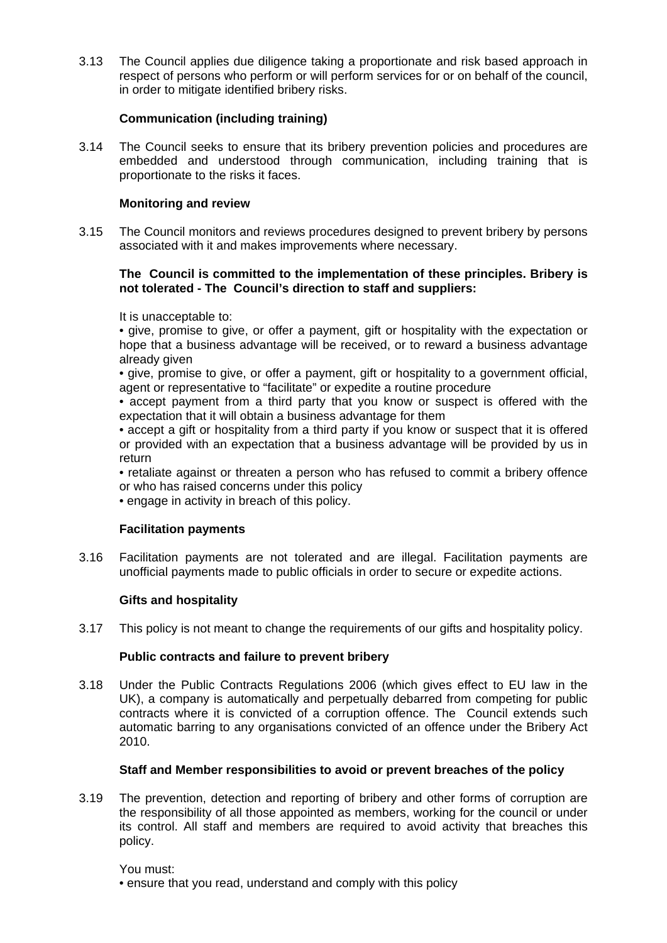3.13 The Council applies due diligence taking a proportionate and risk based approach in respect of persons who perform or will perform services for or on behalf of the council, in order to mitigate identified bribery risks.

# **Communication (including training)**

3.14 The Council seeks to ensure that its bribery prevention policies and procedures are embedded and understood through communication, including training that is proportionate to the risks it faces.

# **Monitoring and review**

3.15 The Council monitors and reviews procedures designed to prevent bribery by persons associated with it and makes improvements where necessary.

## **The Council is committed to the implementation of these principles. Bribery is not tolerated - The Council's direction to staff and suppliers:**

It is unacceptable to:

 • give, promise to give, or offer a payment, gift or hospitality with the expectation or hope that a business advantage will be received, or to reward a business advantage already given

 • give, promise to give, or offer a payment, gift or hospitality to a government official, agent or representative to "facilitate" or expedite a routine procedure

 • accept payment from a third party that you know or suspect is offered with the expectation that it will obtain a business advantage for them

 • accept a gift or hospitality from a third party if you know or suspect that it is offered or provided with an expectation that a business advantage will be provided by us in return

 • retaliate against or threaten a person who has refused to commit a bribery offence or who has raised concerns under this policy

• engage in activity in breach of this policy.

## **Facilitation payments**

3.16 Facilitation payments are not tolerated and are illegal. Facilitation payments are unofficial payments made to public officials in order to secure or expedite actions.

## **Gifts and hospitality**

3.17 This policy is not meant to change the requirements of our gifts and hospitality policy.

## **Public contracts and failure to prevent bribery**

3.18 Under the Public Contracts Regulations 2006 (which gives effect to EU law in the UK), a company is automatically and perpetually debarred from competing for public contracts where it is convicted of a corruption offence. The Council extends such automatic barring to any organisations convicted of an offence under the Bribery Act 2010.

## **Staff and Member responsibilities to avoid or prevent breaches of the policy**

3.19 The prevention, detection and reporting of bribery and other forms of corruption are the responsibility of all those appointed as members, working for the council or under its control. All staff and members are required to avoid activity that breaches this policy.

You must:

• ensure that you read, understand and comply with this policy